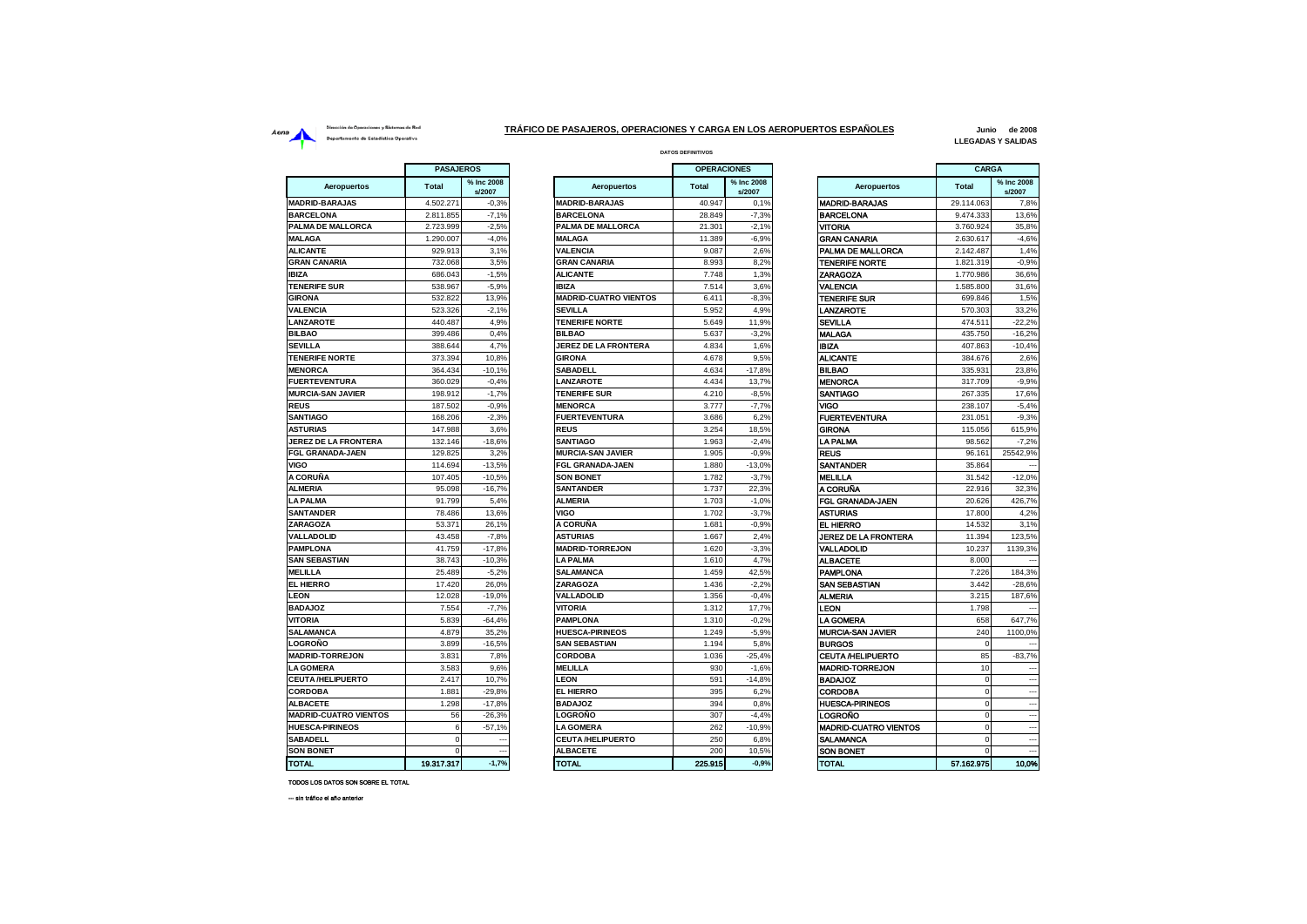## Dirección de Operaciones y Sistemas de Red Aena<br>Departamento de Estadística Operativa<br>Departamento de Estadística Operativa

**DATOS DEFINITIVOS TRÁFICO DE PASAJEROS, OPERACIONES Y CARGA EN LOS AEROPUERTOS ESPAÑOLES**

**Junio de 2008 LLEGADAS Y SALIDAS**

|                              | <b>PASAJEROS</b> |                      |  |  |
|------------------------------|------------------|----------------------|--|--|
| Aeropuertos                  | Total            | % Inc 2008<br>s/2007 |  |  |
| <b>ADRID-BARAJAS</b>         | 4.502.271        | $-0.3%$              |  |  |
| <b>BARCELONA</b>             | 2.811.855        | $-7,1%$              |  |  |
| <b>ALMA DE MALLORCA</b>      | 2.723.999        | $-2.5%$              |  |  |
| <b>ALAGA</b>                 | 1.290.007        | $-4,0%$              |  |  |
| <b>LICANTE</b>               | 929.913          | 3,1%                 |  |  |
| <b>GRAN CANARIA</b>          | 732.068          | 3,5%                 |  |  |
| <b>BIZA</b>                  | 686.043          | $-1,5%$              |  |  |
| <b>ENERIFE SUR</b>           | 538.967          | $-5,9%$              |  |  |
| <b>GIRONA</b>                | 532.822          | 13,9%                |  |  |
| <b>ALENCIA</b>               | 523.326          | $-2,1%$              |  |  |
| <b>ANZAROTE</b>              | 440.487          | 4,9%                 |  |  |
| <b>ILBAO</b>                 | 399.486          | 0,4%                 |  |  |
| <b>EVILLA</b>                | 388.644          | 4,7%                 |  |  |
| <b>ENERIFE NORTE</b>         | 373.394          | 10,8%                |  |  |
| <b><i>IENORCA</i></b>        | 364.434          | $-10,1%$             |  |  |
| <b>UERTEVENTURA</b>          | 360.029          | $-0,4%$              |  |  |
| <b>IURCIA-SAN JAVIER</b>     | 198.912          | $-1,7%$              |  |  |
| ≀EUS                         | 187.502          | $-0.9%$              |  |  |
| <b>SANTIAGO</b>              | 168,206          | $-2,3%$              |  |  |
| <b>STURIAS</b>               | 147.988          | 3,6%                 |  |  |
| <b>EREZ DE LA FRONTERA</b>   | 132.146          | $-18,6%$             |  |  |
| <b>GL GRANADA-JAEN</b>       | 129.825          | 3,2%                 |  |  |
| /IGO                         | 114.694          | $-13,5%$             |  |  |
| <b>\ CORUÑA</b>              | 107.405          | $-10,5%$             |  |  |
| <b>LMERIA</b>                | 95.098           | $-16,7%$             |  |  |
| A PALMA                      | 91.799           | 5,4%                 |  |  |
| <b>SANTANDER</b>             | 78.486           | 13,6%                |  |  |
| <b>ARAGOZA</b>               | 53.371           | 26,1%                |  |  |
| <b>ALLADOLID</b>             | 43.458           | $-7,8%$              |  |  |
| <b>AMPLONA</b>               | 41.759           | $-17,8%$             |  |  |
| <b>AN SEBASTIAN</b>          | 38.743           | $-10,3%$             |  |  |
| <b><i>IELILLA</i></b>        | 25.489           | $-5,2%$              |  |  |
| <b>L HIERRO</b>              | 17.420           | 26,0%                |  |  |
| EON.                         | 12.028           | $-19,0%$             |  |  |
| <b>BADAJOZ</b>               | 7.554            | $-7,7%$              |  |  |
| <b>ITORIA</b>                | 5.839            | $-64,4%$             |  |  |
| <b>SALAMANCA</b>             | 4.879            | 35,2%                |  |  |
| .OGROÑO                      | 3.899            | $-16,5%$             |  |  |
| <b>ADRID-TORREJON</b>        | 3.831            | 7,8%                 |  |  |
| A GOMERA                     | 3.583            | 9,6%                 |  |  |
| <b>EUTA/HELIPUERTO</b>       | 2.417            | 10,7%                |  |  |
| <b>CORDOBA</b>               | 1.881            | $-29.8%$             |  |  |
| <b>LBACETE</b>               | 1.298            | $-17,8%$             |  |  |
| <b>AADRID-CUATRO VIENTOS</b> | 56               | $-26,3%$             |  |  |
| <b>IUESCA-PIRINEOS</b>       | 6                | $-57,1%$             |  |  |
| <b>SABADELL</b>              | 0                |                      |  |  |
| <b>SON BONET</b>             | 0                | ---                  |  |  |
| <b>OTAL</b>                  | 19.317.317       | $-1.7%$              |  |  |

| <b>PASAJEROS</b> |                                |                              | <b>OPERACIONES</b> |                      |                              | CARGA        |                          |
|------------------|--------------------------------|------------------------------|--------------------|----------------------|------------------------------|--------------|--------------------------|
| tal              | % Inc 2008<br>s/2007           | <b>Aeropuertos</b>           | <b>Total</b>       | % Inc 2008<br>s/2007 | <b>Aeropuertos</b>           | <b>Total</b> | % Inc 2008<br>s/2007     |
| 02.271           | $-0.3%$                        | <b>MADRID-BARAJAS</b>        | 40.947             | 0,1%                 | <b>MADRID-BARAJAS</b>        | 29.114.063   | 7,8%                     |
| 11.855           | $-7,1%$                        | <b>BARCELONA</b>             | 28.849             | $-7,3%$              | <b>BARCELONA</b>             | 9.474.333    | 13,6%                    |
| 23.999           | $-2.5%$                        | PALMA DE MALLORCA            | 21.301             | $-2.1%$              | <b>VITORIA</b>               | 3.760.924    | 35,8%                    |
| 90.007           | $-4.0%$                        | <b>MALAGA</b>                | 11.389             | $-6,9%$              | <b>GRAN CANARIA</b>          | 2.630.617    | $-4.6%$                  |
| 29.913           | 3,1%                           | <b>VALENCIA</b>              | 9.087              | 2,6%                 | PALMA DE MALLORCA            | 2.142.487    | 1,4%                     |
| 32.068           | 3,5%                           | <b>GRAN CANARIA</b>          | 8.993              | 8,2%                 | <b>TENERIFE NORTE</b>        | 1.821.319    | $-0.9%$                  |
| 86.043           | $-1,5%$                        | <b>ALICANTE</b>              | 7.748              | 1,3%                 | ZARAGOZA                     | 1.770.986    | 36,6%                    |
| 38.967           | $-5.9%$                        | <b>IBIZA</b>                 | 7.514              | 3.6%                 | VALENCIA                     | 1.585.800    | 31.6%                    |
| 32.822           | 13.9%                          | <b>MADRID-CUATRO VIENTOS</b> | 6.411              | $-8.3%$              | <b>TENERIFE SUR</b>          | 699.846      | 1,5%                     |
| 23.326           | $-2.1%$                        | <b>SEVILLA</b>               | 5.952              | 4.9%                 | <b>LANZAROTE</b>             | 570.303      | 33,2%                    |
| 40.487           | 4,9%                           | <b>TENERIFE NORTE</b>        | 5.649              | 11,9%                | <b>SEVILLA</b>               | 474.511      | $-22,2%$                 |
| 199.486          | 0,4%                           | <b>BILBAO</b>                | 5.637              | $-3,2%$              | <b>MALAGA</b>                | 435.750      | $-16,2%$                 |
| 88.644           | 4,7%                           | <b>JEREZ DE LA FRONTERA</b>  | 4.834              | 1,6%                 | <b>BIZA</b>                  | 407.863      | $-10,4%$                 |
| 73.394           | 10.8%                          | <b>GIRONA</b>                | 4.678              | 9,5%                 | <b>ALICANTE</b>              | 384.676      | 2,6%                     |
| 64.434           | $-10,1%$                       | <b>SABADELL</b>              | 4.634              | $-17,8%$             | <b>BILBAO</b>                | 335.931      | 23,8%                    |
| 60.029           | $-0.4%$                        | <b>LANZAROTE</b>             | 4.434              | 13,7%                | <b>MENORCA</b>               | 317.709      | $-9.9%$                  |
| 98.912           | $-1,7%$                        | <b>TENERIFE SUR</b>          | 4.210              | $-8,5%$              | SANTIAGO                     | 267.335      | 17,6%                    |
| 87.502           | $-0.9%$                        | <b>MENORCA</b>               | 3.777              | $-7,7%$              | VIGO                         | 238.107      | $-5,4%$                  |
| 68,206           | $-2,3%$                        | <b>FUERTEVENTURA</b>         | 3.686              | 6,2%                 | <b>FUERTEVENTURA</b>         | 231.051      | $-9,3%$                  |
| 47.988           | 3.6%                           | <b>REUS</b>                  | 3.254              | 18.5%                | <b>GIRONA</b>                | 115.056      | 615.9%                   |
| 32.146           | $-18.6%$                       | <b>SANTIAGO</b>              | 1.963              | $-2.4%$              | LA PALMA                     | 98.562       | $-7,2%$                  |
| 29.825           | 3.2%                           | <b>MURCIA-SAN JAVIER</b>     | 1.905              | $-0.9%$              | <b>REUS</b>                  | 96.161       | 25542,9%                 |
| 14.694           | $-13,5%$                       | <b>FGL GRANADA-JAEN</b>      | 1.880              | $-13,0%$             | SANTANDER                    | 35.864       |                          |
| 07.405           | $-10,5%$                       | <b>SON BONET</b>             | 1.782              | $-3,7%$              | <b>MELILLA</b>               | 31.542       | $-12,0%$                 |
| 95.098           | $-16,7%$                       | <b>SANTANDER</b>             | 1.737              | 22.3%                | A CORUÑA                     | 22.916       | 32.3%                    |
| 91.799           | 5,4%                           | <b>ALMERIA</b>               | 1.703              | $-1,0%$              | FGL GRANADA-JAEN             | 20.626       | 426,7%                   |
| 78.486           | 13,6%                          | VIGO                         | 1.702              | $-3,7%$              | ASTURIAS                     | 17.800       | 4,2%                     |
| 53.371           | 26,1%                          | A CORUÑA                     | 1.681              | $-0.9%$              | EL HIERRO                    | 14.532       | 3,1%                     |
| 43.458           | $-7,8%$                        | <b>ASTURIAS</b>              | 1.667              | 2,4%                 | JEREZ DE LA FRONTERA         | 11.394       | 123,5%                   |
| 41.759           | $-17,8%$                       | <b>MADRID-TORREJON</b>       | 1.620              | $-3,3%$              | VALLADOLID                   | 10.237       | 1139,3%                  |
| 38.743           | $-10.3%$                       | <b>LA PALMA</b>              | 1.610              | 4.7%                 | <b>ALBACETE</b>              | 8.000        |                          |
| 25.489           | $-5.2%$                        | <b>SALAMANCA</b>             | 1.459              | 42.5%                | <b>PAMPLONA</b>              | 7.226        | 184.3%                   |
| 17,420           | 26.0%                          | ZARAGOZA                     | 1.436              | $-2.2%$              | <b>SAN SEBASTIAN</b>         | 3.442        | $-28,6%$                 |
| 12.028           | $-19,0%$                       | <b>VALLADOLID</b>            | 1.356              | $-0.4%$              | <b>ALMERIA</b>               | 3.215        | 187,6%                   |
| 7.554            | $-7,7%$                        | <b>VITORIA</b>               | 1.312              | 17,7%                | LEON                         | 1.798        |                          |
| 5.839            | $-64,4%$                       | <b>PAMPLONA</b>              | 1.310              | $-0.2%$              | <b>LA GOMERA</b>             | 658          | 647,7%                   |
| 4.879            | 35.2%                          | <b>HUESCA-PIRINEOS</b>       | 1.249              | $-5,9%$              | <b>MURCIA-SAN JAVIER</b>     | 240          | 1100.0%                  |
| 3.899            | $-16,5%$                       | <b>SAN SEBASTIAN</b>         | 1.194              | 5,8%                 | <b>BURGOS</b>                | $\Omega$     |                          |
| 3.831            |                                | <b>CORDOBA</b>               |                    |                      | <b>CEUTA /HELIPUERTO</b>     | 85           |                          |
|                  | 7,8%                           | <b>MELILLA</b>               | 1.036              | $-25,4%$             |                              | 10           | $-83,7%$                 |
| 3.583<br>2.417   | 9,6%                           | LEON                         | 930<br>591         | $-1,6%$              | <b>MADRID-TORREJON</b>       | $\mathbf 0$  | $\overline{a}$           |
| 1.881            | 10,7%<br>$-29.8%$              | <b>EL HIERRO</b>             | 395                | $-14,8%$             | <b>BADAJOZ</b><br>CORDOBA    | $\mathbf 0$  | $\overline{a}$           |
| 1.298            | $-17.8%$                       | <b>BADAJOZ</b>               | 394                | 6,2%<br>0.8%         | <b>HUESCA-PIRINEOS</b>       | $\mathbf 0$  |                          |
|                  |                                |                              |                    |                      | LOGROÑO                      | $\Omega$     |                          |
| 56               | $-26,3%$                       | LOGROÑO                      | 307                | $-4.4%$              |                              | $\mathbf 0$  | Ξ.                       |
| 6                | $-57.1%$                       | <b>LA GOMERA</b>             | 262                | $-10.9%$             | <b>MADRID-CUATRO VIENTOS</b> |              | ---                      |
| $\mathbf 0$      | $\overline{\phantom{a}}$<br>Ξ. | <b>CEUTA/HELIPUERTO</b>      | 250                | 6,8%                 | SALAMANCA                    | $\mathbf 0$  | $\overline{\phantom{a}}$ |
| $\mathbf 0$      |                                | <b>ALBACETE</b>              | 200                | 10,5%                | <b>SON BONET</b>             | $\mathbf 0$  | ---                      |
| 17.317           | $-1.7%$                        | <b>TOTAL</b>                 | 225.915            | $-0.9%$              | <b>TOTAL</b>                 | 57.162.975   | 10.0%                    |

|                              | <b>PASAJEROS</b> |                      |                              | <b>OPERACIONES</b> |                      |                              | <b>CARGA</b> |                          |
|------------------------------|------------------|----------------------|------------------------------|--------------------|----------------------|------------------------------|--------------|--------------------------|
| Aeropuertos                  | Total            | % Inc 2008<br>s/2007 | <b>Aeropuertos</b>           | Total              | % Inc 2008<br>s/2007 | <b>Aeropuertos</b>           | <b>Total</b> | % Inc 2008<br>s/2007     |
| <b>MADRID-BARAJAS</b>        | 4.502.271        | $-0.3%$              | <b>MADRID-BARAJAS</b>        | 40.947             | 0,1%                 | <b>MADRID-BARAJAS</b>        | 29.114.063   | 7,8%                     |
| <b>BARCELONA</b>             | 2.811.855        | $-7,1%$              | <b>BARCELONA</b>             | 28.849             | $-7,3%$              | <b>BARCELONA</b>             | 9.474.333    | 13,6%                    |
| <b>PALMA DE MALLORCA</b>     | 2.723.999        | $-2,5%$              | PALMA DE MALLORCA            | 21.301             | $-2,1%$              | <b>VITORIA</b>               | 3.760.924    | 35,8%                    |
| <b>MALAGA</b>                | 1.290.007        | $-4,0%$              | <b>MALAGA</b>                | 11.389             | $-6.9%$              | <b>GRAN CANARIA</b>          | 2.630.617    | $-4.6%$                  |
| <b>ALICANTE</b>              | 929.913          | 3,1%                 | <b>VALENCIA</b>              | 9.087              | 2,6%                 | PALMA DE MALLORCA            | 2.142.487    | 1,4%                     |
| <b>GRAN CANARIA</b>          | 732.068          | 3,5%                 | <b>GRAN CANARIA</b>          | 8.993              | 8.2%                 | <b>TENERIFE NORTE</b>        | 1.821.319    | $-0.9%$                  |
| <b>IBIZA</b>                 | 686,043          | $-1,5%$              | <b>ALICANTE</b>              | 7.748              | 1.3%                 | <b>ZARAGOZA</b>              | 1.770.986    | 36,6%                    |
| <b>TENERIFE SUR</b>          | 538.967          | $-5,9%$              | <b>IBIZA</b>                 | 7.514              | 3.6%                 | <b>VALENCIA</b>              | 1.585.800    | 31,6%                    |
| <b>GIRONA</b>                | 532.822          | 13,9%                | <b>MADRID-CUATRO VIENTOS</b> | 6.411              | $-8.3%$              | <b>TENERIFE SUR</b>          | 699.846      | 1,5%                     |
| <b>VALENCIA</b>              | 523.326          | $-2.1%$              | <b>SEVILLA</b>               | 5.952              | 4.9%                 | LANZAROTE                    | 570.303      | 33.2%                    |
| LANZAROTE                    | 440.487          | 4,9%                 | <b>TENERIFE NORTE</b>        | 5.649              | 11,9%                | <b>SEVILLA</b>               | 474.511      | $-22,2%$                 |
| <b>BILBAO</b>                | 399,486          | 0.4%                 | <b>BILBAO</b>                | 5.637              | $-3.2%$              | <b>MALAGA</b>                | 435.750      | $-16.2%$                 |
| <b>SEVILLA</b>               | 388.644          | 4,7%                 | <b>JEREZ DE LA FRONTERA</b>  | 4.834              | 1.6%                 | <b>BIZA</b>                  | 407.863      | $-10.4%$                 |
| <b>TENERIFE NORTE</b>        | 373.394          | 10,8%                | <b>GIRONA</b>                | 4.678              | 9,5%                 | <b>ALICANTE</b>              | 384.676      | 2,6%                     |
| <b>MENORCA</b>               | 364.434          | $-10.1%$             | <b>SABADELL</b>              | 4.634              | $-17.8%$             | <b>BILBAO</b>                | 335.931      | 23.8%                    |
| <b>FUERTEVENTURA</b>         | 360.029          | $-0.4%$              | LANZAROTE                    | 4.434              | 13,7%                | <b>MENORCA</b>               | 317.709      | $-9,9%$                  |
| <b>MURCIA-SAN JAVIER</b>     | 198,912          | $-1,7%$              | <b>TENERIFE SUR</b>          | 4.210              | $-8.5%$              | <b>SANTIAGO</b>              | 267.335      | 17.6%                    |
| <b>REUS</b>                  | 187.502          | $-0.9%$              | <b>MENORCA</b>               | 3.777              | $-7,7%$              | <b>VIGO</b>                  | 238.107      | $-5,4%$                  |
| SANTIAGO                     | 168.206          | $-2,3%$              | <b>FUERTEVENTURA</b>         | 3.686              | 6,2%                 | <b>FUERTEVENTURA</b>         | 231.051      | $-9,3%$                  |
| <b>ASTURIAS</b>              | 147.988          | 3,6%                 | <b>REUS</b>                  | 3.254              | 18.5%                | <b>GIRONA</b>                | 115.056      | 615.9%                   |
| <b>JEREZ DE LA FRONTERA</b>  | 132.146          | $-18,6%$             | <b>SANTIAGO</b>              | 1.963              | $-2,4%$              | LA PALMA                     | 98.562       | $-7,2%$                  |
| <b>FGL GRANADA-JAEN</b>      | 129.825          | 3,2%                 | <b>MURCIA-SAN JAVIER</b>     | 1.905              | $-0.9%$              | <b>REUS</b>                  | 96.161       | 25542.9%                 |
| VIGO                         | 114.694          | $-13,5%$             | <b>FGL GRANADA-JAEN</b>      | 1.880              | $-13,0%$             | <b>SANTANDER</b>             | 35.864       |                          |
| A CORUÑA                     | 107.405          | $-10,5%$             | <b>SON BONET</b>             | 1.782              | $-3,7%$              | <b>MELILLA</b>               | 31.542       | $-12,0%$                 |
| <b>ALMERIA</b>               | 95,098           | $-16,7%$             | <b>SANTANDER</b>             | 1.737              | 22.3%                | A CORUÑA                     | 22.916       | 32,3%                    |
| <b>LA PALMA</b>              | 91.799           | 5,4%                 | <b>ALMERIA</b>               | 1.703              | $-1,0%$              | FGL GRANADA-JAEN             | 20.626       | 426,7%                   |
| <b>SANTANDER</b>             | 78,486           | 13,6%                | VIGO                         | 1.702              | $-3,7%$              | <b>ASTURIAS</b>              | 17,800       | 4.2%                     |
| ZARAGOZA                     | 53.371           | 26,1%                | A CORUÑA                     | 1.681              | $-0.9%$              | <b>EL HIERRO</b>             | 14.532       | 3.1%                     |
| VALLADOLID                   | 43.458           | $-7,8%$              | <b>ASTURIAS</b>              | 1.667              | 2,4%                 | <b>JEREZ DE LA FRONTERA</b>  | 11.394       | 123,5%                   |
| <b>PAMPLONA</b>              | 41.759           | $-17,8%$             | <b>MADRID-TORREJON</b>       | 1.620              | $-3,3%$              | VALLADOLID                   | 10.237       | 1139.3%                  |
| <b>SAN SEBASTIAN</b>         | 38.743           | $-10,3%$             | LA PALMA                     | 1.610              | 4,7%                 | <b>ALBACETE</b>              | 8.000        |                          |
| <b>MELILLA</b>               | 25.489           | $-5,2%$              | SALAMANCA                    | 1.459              | 42,5%                | <b>PAMPLONA</b>              | 7.226        | 184,3%                   |
| <b>EL HIERRO</b>             | 17,420           | 26,0%                | <b>ZARAGOZA</b>              | 1.436              | $-2.2%$              | <b>SAN SEBASTIAN</b>         | 3.442        | $-28,6%$                 |
| <b>LEON</b>                  | 12.028           | $-19,0%$             | <b>VALLADOLID</b>            | 1.356              | $-0.4%$              | <b>ALMERIA</b>               | 3.215        | 187,6%                   |
| <b>BADAJOZ</b>               | 7.554            | $-7,7%$              | <b>VITORIA</b>               | 1.312              | 17,7%                | LEON                         | 1.798        |                          |
| <b>VITORIA</b>               | 5.839            | $-64,4%$             | <b>PAMPLONA</b>              | 1.310              | $-0.2%$              | LA GOMERA                    | 658          | 647.7%                   |
| SALAMANCA                    | 4.879            | 35,2%                | <b>HUESCA-PIRINEOS</b>       | 1.249              | $-5,9%$              | <b>MURCIA-SAN JAVIER</b>     | 240          | 1100,0%                  |
| LOGROÑO                      | 3.899            | $-16.5%$             | <b>SAN SEBASTIAN</b>         | 1.194              | 5.8%                 | <b>BURGOS</b>                | $\mathbf 0$  | $\overline{\phantom{a}}$ |
| <b>MADRID-TORREJON</b>       | 3.831            | 7,8%                 | <b>CORDOBA</b>               | 1.036              | $-25,4%$             | <b>CEUTA /HELIPUERTO</b>     | 85           | $-83,7%$                 |
| <b>LA GOMERA</b>             | 3.583            | 9,6%                 | <b>MELILLA</b>               | 930                | $-1.6%$              | <b>MADRID-TORREJON</b>       | 10           |                          |
| <b>CEUTA/HELIPUERTO</b>      | 2.417            | 10.7%                | <b>LEON</b>                  | 591                | $-14.8%$             | <b>BADAJOZ</b>               | $\Omega$     |                          |
| <b>CORDOBA</b>               | 1.881            | $-29.8%$             | <b>EL HIERRO</b>             | 395                | 6.2%                 | <b>CORDOBA</b>               | $\Omega$     |                          |
| <b>ALBACETE</b>              | 1.298            | $-17,8%$             | <b>BADAJOZ</b>               | 394                | 0.8%                 | <b>HUESCA-PIRINEOS</b>       | 0            |                          |
| <b>MADRID-CUATRO VIENTOS</b> | 56               | $-26,3%$             | LOGROÑO                      | 307                | $-4.4%$              | LOGROÑO                      | $\Omega$     |                          |
| <b>HUESCA-PIRINEOS</b>       | 6                | $-57,1%$             | <b>LA GOMERA</b>             | 262                | $-10,9%$             | <b>MADRID-CUATRO VIENTOS</b> | 0            |                          |
| <b>SABADELL</b>              | $\Omega$         |                      | <b>CEUTA/HELIPUERTO</b>      | 250                | 6.8%                 | <b>SALAMANCA</b>             | $\Omega$     |                          |
| <b>SON BONET</b>             | $\mathbf 0$      | $\sim$               | <b>ALBACETE</b>              | 200                | 10,5%                | <b>SON BONET</b>             | $\mathbf 0$  |                          |
|                              |                  |                      |                              |                    |                      |                              |              |                          |

TODOS LOS DATOS SON SOBRE EL TOTAL

--- sin tráfico el año anterior